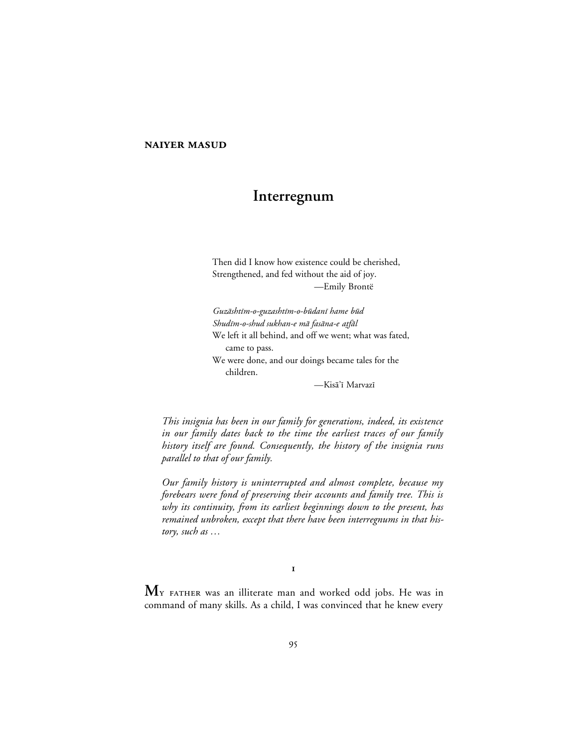## **NAIYER MASUD**

# **Interregnum**

Then did I know how existence could be cherished, Strengthened, and fed without the aid of joy. —Emily Brontë

Guzāshtīm-o-guzashtīm-o-būdanī hame būd Shudīm-o-shud sukhan-e mā fasāna-e atfāl We left it all behind, and off we went; what was fated, came to pass. We were done, and our doings became tales for the children.

—Kisā'ī Marvazī

*This insignia has been in our family for generations, indeed, its existence in our family dates back to the time the earliest traces of our family history itself are found. Consequently, the history of the insignia runs parallel to that of our family.*

*Our family history is uninterrupted and almost complete, because my forebears were fond of preserving their accounts and family tree. This is why its continuity, from its earliest beginnings down to the present, has remained unbroken, except that there have been interregnums in that history, such as …*

 $\mathbf I$ 

 $\mathbf{M}_{\texttt{Y}}$  father was an illiterate man and worked odd jobs. He was in command of many skills. As a child, I was convinced that he knew every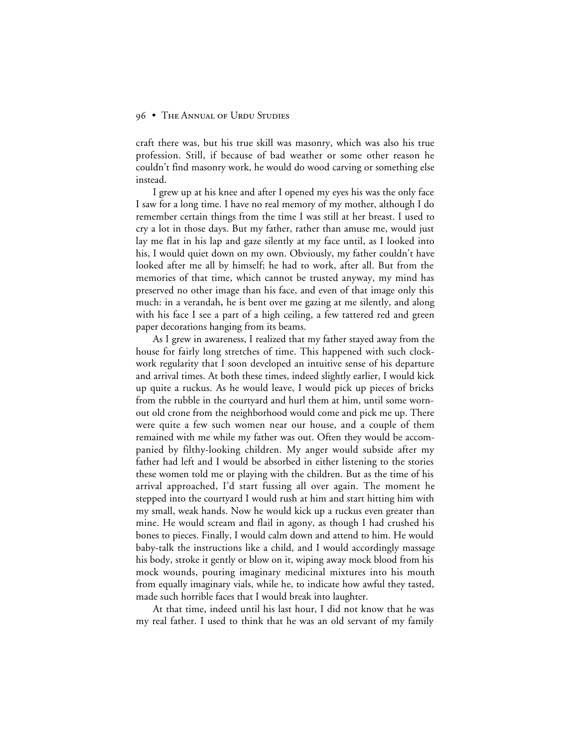craft there was, but his true skill was masonry, which was also his true profession. Still, if because of bad weather or some other reason he couldn't find masonry work, he would do wood carving or something else instead.

I grew up at his knee and after I opened my eyes his was the only face I saw for a long time. I have no real memory of my mother, although I do remember certain things from the time I was still at her breast. I used to cry a lot in those days. But my father, rather than amuse me, would just lay me flat in his lap and gaze silently at my face until, as I looked into his, I would quiet down on my own. Obviously, my father couldn't have looked after me all by himself; he had to work, after all. But from the memories of that time, which cannot be trusted anyway, my mind has preserved no other image than his face, and even of that image only this much: in a verandah**,** he is bent over me gazing at me silently, and along with his face I see a part of a high ceiling, a few tattered red and green paper decorations hanging from its beams.

As I grew in awareness, I realized that my father stayed away from the house for fairly long stretches of time. This happened with such clockwork regularity that I soon developed an intuitive sense of his departure and arrival times. At both these times, indeed slightly earlier, I would kick up quite a ruckus. As he would leave, I would pick up pieces of bricks from the rubble in the courtyard and hurl them at him, until some wornout old crone from the neighborhood would come and pick me up. There were quite a few such women near our house, and a couple of them remained with me while my father was out. Often they would be accompanied by filthy-looking children. My anger would subside after my father had left and I would be absorbed in either listening to the stories these women told me or playing with the children. But as the time of his arrival approached, I'd start fussing all over again. The moment he stepped into the courtyard I would rush at him and start hitting him with my small, weak hands. Now he would kick up a ruckus even greater than mine. He would scream and flail in agony, as though I had crushed his bones to pieces. Finally, I would calm down and attend to him. He would baby-talk the instructions like a child, and I would accordingly massage his body, stroke it gently or blow on it, wiping away mock blood from his mock wounds, pouring imaginary medicinal mixtures into his mouth from equally imaginary vials, while he, to indicate how awful they tasted, made such horrible faces that I would break into laughter.

At that time, indeed until his last hour, I did not know that he was my real father. I used to think that he was an old servant of my family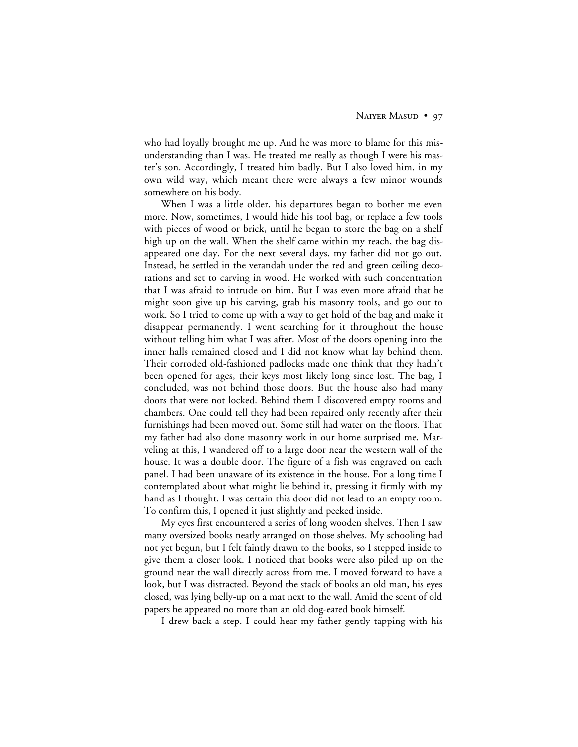who had loyally brought me up. And he was more to blame for this misunderstanding than I was. He treated me really as though I were his master's son. Accordingly, I treated him badly. But I also loved him, in my own wild way, which meant there were always a few minor wounds somewhere on his body.

When I was a little older, his departures began to bother me even more. Now, sometimes, I would hide his tool bag, or replace a few tools with pieces of wood or brick, until he began to store the bag on a shelf high up on the wall. When the shelf came within my reach, the bag disappeared one day. For the next several days, my father did not go out. Instead, he settled in the verandah under the red and green ceiling decorations and set to carving in wood. He worked with such concentration that I was afraid to intrude on him. But I was even more afraid that he might soon give up his carving, grab his masonry tools, and go out to work. So I tried to come up with a way to get hold of the bag and make it disappear permanently. I went searching for it throughout the house without telling him what I was after. Most of the doors opening into the inner halls remained closed and I did not know what lay behind them. Their corroded old-fashioned padlocks made one think that they hadn't been opened for ages, their keys most likely long since lost. The bag, I concluded, was not behind those doors. But the house also had many doors that were not locked. Behind them I discovered empty rooms and chambers. One could tell they had been repaired only recently after their furnishings had been moved out. Some still had water on the floors. That my father had also done masonry work in our home surprised me**.** Marveling at this, I wandered off to a large door near the western wall of the house. It was a double door. The figure of a fish was engraved on each panel. I had been unaware of its existence in the house. For a long time I contemplated about what might lie behind it, pressing it firmly with my hand as I thought. I was certain this door did not lead to an empty room. To confirm this, I opened it just slightly and peeked inside.

My eyes first encountered a series of long wooden shelves. Then I saw many oversized books neatly arranged on those shelves. My schooling had not yet begun, but I felt faintly drawn to the books, so I stepped inside to give them a closer look. I noticed that books were also piled up on the ground near the wall directly across from me. I moved forward to have a look, but I was distracted. Beyond the stack of books an old man, his eyes closed, was lying belly-up on a mat next to the wall. Amid the scent of old papers he appeared no more than an old dog-eared book himself.

I drew back a step. I could hear my father gently tapping with his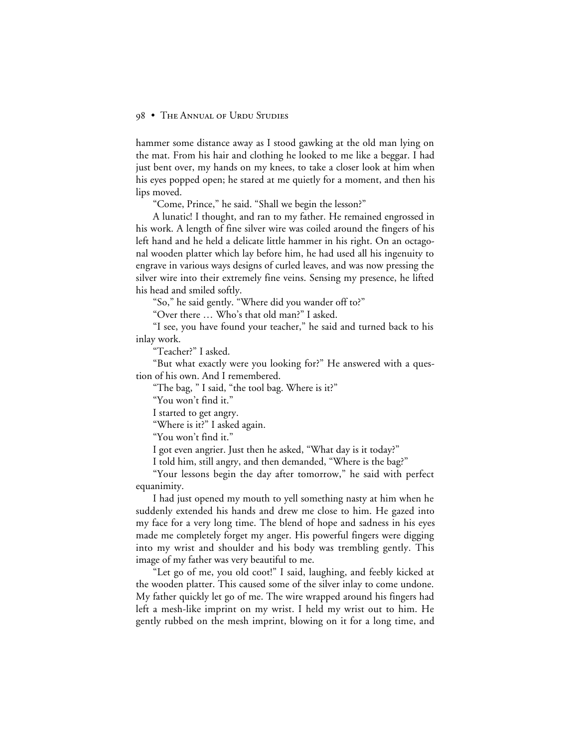hammer some distance away as I stood gawking at the old man lying on the mat. From his hair and clothing he looked to me like a beggar. I had just bent over, my hands on my knees, to take a closer look at him when his eyes popped open; he stared at me quietly for a moment, and then his lips moved.

"Come, Prince," he said. "Shall we begin the lesson?"

A lunatic! I thought, and ran to my father. He remained engrossed in his work. A length of fine silver wire was coiled around the fingers of his left hand and he held a delicate little hammer in his right. On an octagonal wooden platter which lay before him, he had used all his ingenuity to engrave in various ways designs of curled leaves, and was now pressing the silver wire into their extremely fine veins. Sensing my presence, he lifted his head and smiled softly.

"So," he said gently. "Where did you wander off to?"

"Over there … Who's that old man?" I asked.

"I see, you have found your teacher," he said and turned back to his inlay work.

"Teacher?" I asked.

"But what exactly were you looking for?" He answered with a question of his own. And I remembered.

"The bag, " I said, "the tool bag. Where is it?"

"You won't find it."

I started to get angry.

"Where is it?" I asked again.

"You won't find it."

I got even angrier. Just then he asked, "What day is it today?"

I told him, still angry, and then demanded, "Where is the bag?"

"Your lessons begin the day after tomorrow," he said with perfect equanimity.

I had just opened my mouth to yell something nasty at him when he suddenly extended his hands and drew me close to him. He gazed into my face for a very long time. The blend of hope and sadness in his eyes made me completely forget my anger. His powerful fingers were digging into my wrist and shoulder and his body was trembling gently. This image of my father was very beautiful to me.

"Let go of me, you old coot!" I said, laughing, and feebly kicked at the wooden platter. This caused some of the silver inlay to come undone. My father quickly let go of me. The wire wrapped around his fingers had left a mesh-like imprint on my wrist. I held my wrist out to him. He gently rubbed on the mesh imprint, blowing on it for a long time, and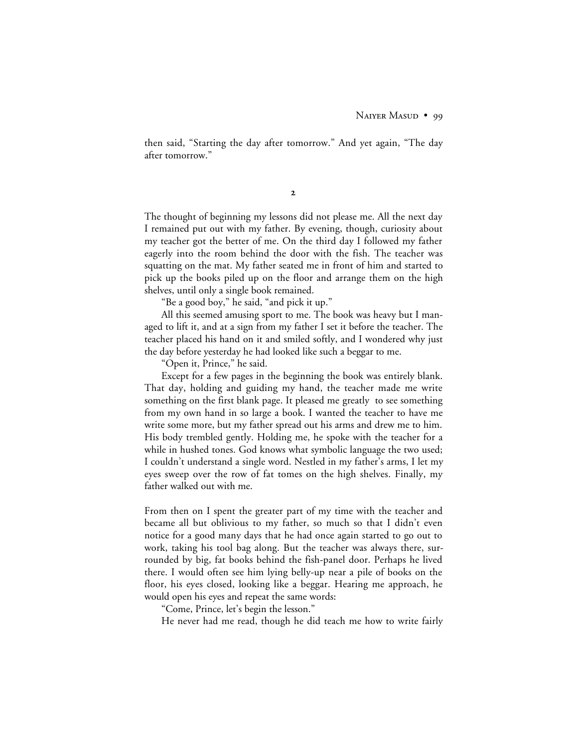then said, "Starting the day after tomorrow." And yet again, "The day after tomorrow."

 $\overline{2}$ 

The thought of beginning my lessons did not please me. All the next day I remained put out with my father. By evening, though, curiosity about my teacher got the better of me. On the third day I followed my father eagerly into the room behind the door with the fish. The teacher was squatting on the mat. My father seated me in front of him and started to pick up the books piled up on the floor and arrange them on the high shelves, until only a single book remained.

"Be a good boy," he said, "and pick it up."

All this seemed amusing sport to me. The book was heavy but I managed to lift it, and at a sign from my father I set it before the teacher. The teacher placed his hand on it and smiled softly, and I wondered why just the day before yesterday he had looked like such a beggar to me.

"Open it, Prince," he said.

Except for a few pages in the beginning the book was entirely blank. That day, holding and guiding my hand, the teacher made me write something on the first blank page. It pleased me greatly to see something from my own hand in so large a book. I wanted the teacher to have me write some more, but my father spread out his arms and drew me to him. His body trembled gently. Holding me, he spoke with the teacher for a while in hushed tones. God knows what symbolic language the two used; I couldn't understand a single word. Nestled in my father's arms, I let my eyes sweep over the row of fat tomes on the high shelves. Finally, my father walked out with me.

From then on I spent the greater part of my time with the teacher and became all but oblivious to my father, so much so that I didn't even notice for a good many days that he had once again started to go out to work, taking his tool bag along. But the teacher was always there, surrounded by big, fat books behind the fish-panel door. Perhaps he lived there. I would often see him lying belly-up near a pile of books on the floor, his eyes closed, looking like a beggar. Hearing me approach, he would open his eyes and repeat the same words:

"Come, Prince, let's begin the lesson."

He never had me read, though he did teach me how to write fairly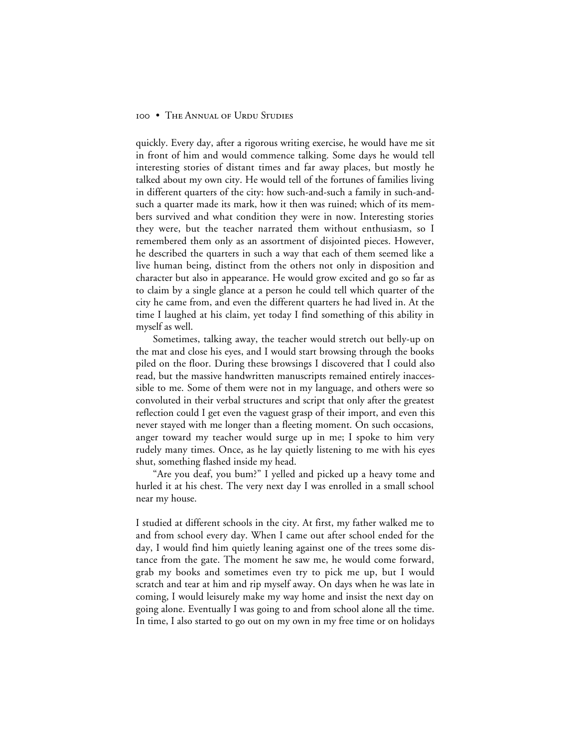quickly. Every day, after a rigorous writing exercise, he would have me sit in front of him and would commence talking. Some days he would tell interesting stories of distant times and far away places, but mostly he talked about my own city. He would tell of the fortunes of families living in different quarters of the city: how such-and-such a family in such-andsuch a quarter made its mark, how it then was ruined; which of its members survived and what condition they were in now. Interesting stories they were, but the teacher narrated them without enthusiasm, so I remembered them only as an assortment of disjointed pieces. However, he described the quarters in such a way that each of them seemed like a live human being, distinct from the others not only in disposition and character but also in appearance. He would grow excited and go so far as to claim by a single glance at a person he could tell which quarter of the city he came from, and even the different quarters he had lived in. At the time I laughed at his claim, yet today I find something of this ability in myself as well.

Sometimes, talking away, the teacher would stretch out belly-up on the mat and close his eyes, and I would start browsing through the books piled on the floor. During these browsings I discovered that I could also read, but the massive handwritten manuscripts remained entirely inaccessible to me. Some of them were not in my language, and others were so convoluted in their verbal structures and script that only after the greatest reflection could I get even the vaguest grasp of their import, and even this never stayed with me longer than a fleeting moment. On such occasions, anger toward my teacher would surge up in me; I spoke to him very rudely many times. Once, as he lay quietly listening to me with his eyes shut, something flashed inside my head.

"Are you deaf, you bum?" I yelled and picked up a heavy tome and hurled it at his chest. The very next day I was enrolled in a small school near my house.

I studied at different schools in the city. At first, my father walked me to and from school every day. When I came out after school ended for the day, I would find him quietly leaning against one of the trees some distance from the gate. The moment he saw me, he would come forward, grab my books and sometimes even try to pick me up, but I would scratch and tear at him and rip myself away. On days when he was late in coming, I would leisurely make my way home and insist the next day on going alone. Eventually I was going to and from school alone all the time. In time, I also started to go out on my own in my free time or on holidays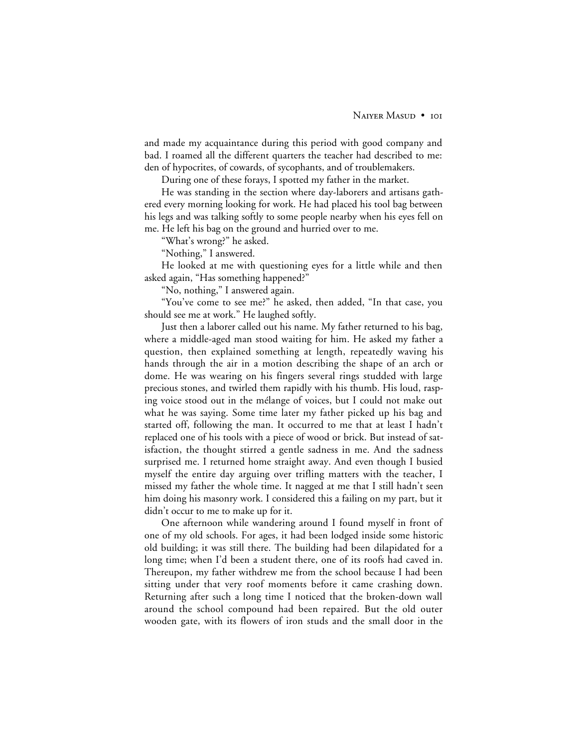and made my acquaintance during this period with good company and bad. I roamed all the different quarters the teacher had described to me: den of hypocrites, of cowards, of sycophants, and of troublemakers.

During one of these forays, I spotted my father in the market.

He was standing in the section where day-laborers and artisans gathered every morning looking for work. He had placed his tool bag between his legs and was talking softly to some people nearby when his eyes fell on me. He left his bag on the ground and hurried over to me.

"What's wrong?" he asked.

"Nothing," I answered.

He looked at me with questioning eyes for a little while and then asked again, "Has something happened?"

"No, nothing," I answered again.

"You've come to see me?" he asked, then added, "In that case, you should see me at work." He laughed softly.

Just then a laborer called out his name. My father returned to his bag, where a middle-aged man stood waiting for him. He asked my father a question, then explained something at length, repeatedly waving his hands through the air in a motion describing the shape of an arch or dome. He was wearing on his fingers several rings studded with large precious stones, and twirled them rapidly with his thumb. His loud, rasping voice stood out in the mélange of voices, but I could not make out what he was saying. Some time later my father picked up his bag and started off, following the man. It occurred to me that at least I hadn't replaced one of his tools with a piece of wood or brick. But instead of satisfaction, the thought stirred a gentle sadness in me. And the sadness surprised me. I returned home straight away. And even though I busied myself the entire day arguing over trifling matters with the teacher, I missed my father the whole time. It nagged at me that I still hadn't seen him doing his masonry work. I considered this a failing on my part, but it didn't occur to me to make up for it.

One afternoon while wandering around I found myself in front of one of my old schools. For ages, it had been lodged inside some historic old building; it was still there. The building had been dilapidated for a long time; when I'd been a student there, one of its roofs had caved in. Thereupon, my father withdrew me from the school because I had been sitting under that very roof moments before it came crashing down. Returning after such a long time I noticed that the broken-down wall around the school compound had been repaired. But the old outer wooden gate, with its flowers of iron studs and the small door in the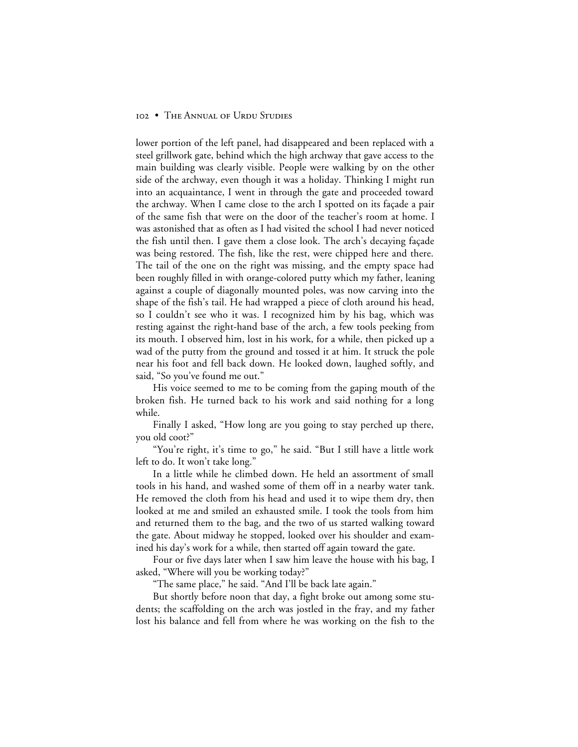lower portion of the left panel, had disappeared and been replaced with a steel grillwork gate, behind which the high archway that gave access to the main building was clearly visible. People were walking by on the other side of the archway, even though it was a holiday. Thinking I might run into an acquaintance, I went in through the gate and proceeded toward the archway. When I came close to the arch I spotted on its façade a pair of the same fish that were on the door of the teacher's room at home. I was astonished that as often as I had visited the school I had never noticed the fish until then. I gave them a close look. The arch's decaying façade was being restored. The fish, like the rest, were chipped here and there. The tail of the one on the right was missing, and the empty space had been roughly filled in with orange-colored putty which my father, leaning against a couple of diagonally mounted poles, was now carving into the shape of the fish's tail. He had wrapped a piece of cloth around his head, so I couldn't see who it was. I recognized him by his bag, which was resting against the right-hand base of the arch, a few tools peeking from its mouth. I observed him, lost in his work, for a while, then picked up a wad of the putty from the ground and tossed it at him. It struck the pole near his foot and fell back down. He looked down, laughed softly, and said, "So you've found me out."

His voice seemed to me to be coming from the gaping mouth of the broken fish. He turned back to his work and said nothing for a long while.

Finally I asked, "How long are you going to stay perched up there, you old coot?"

"You're right, it's time to go," he said. "But I still have a little work left to do. It won't take long."

In a little while he climbed down. He held an assortment of small tools in his hand, and washed some of them off in a nearby water tank. He removed the cloth from his head and used it to wipe them dry, then looked at me and smiled an exhausted smile. I took the tools from him and returned them to the bag, and the two of us started walking toward the gate. About midway he stopped, looked over his shoulder and examined his day's work for a while, then started off again toward the gate.

Four or five days later when I saw him leave the house with his bag, I asked, "Where will you be working today?"

"The same place," he said. "And I'll be back late again."

But shortly before noon that day, a fight broke out among some students; the scaffolding on the arch was jostled in the fray, and my father lost his balance and fell from where he was working on the fish to the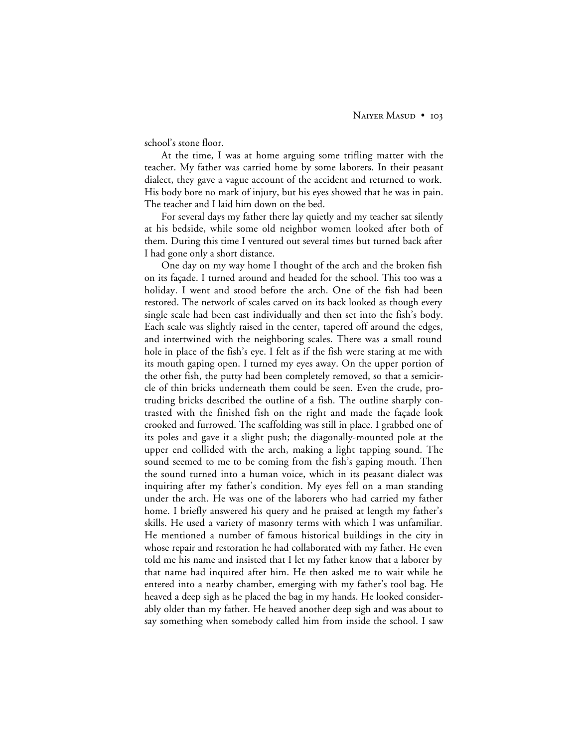school's stone floor.

At the time, I was at home arguing some trifling matter with the teacher. My father was carried home by some laborers. In their peasant dialect, they gave a vague account of the accident and returned to work. His body bore no mark of injury, but his eyes showed that he was in pain. The teacher and I laid him down on the bed.

For several days my father there lay quietly and my teacher sat silently at his bedside, while some old neighbor women looked after both of them. During this time I ventured out several times but turned back after I had gone only a short distance.

One day on my way home I thought of the arch and the broken fish on its façade. I turned around and headed for the school. This too was a holiday. I went and stood before the arch. One of the fish had been restored. The network of scales carved on its back looked as though every single scale had been cast individually and then set into the fish's body. Each scale was slightly raised in the center, tapered off around the edges, and intertwined with the neighboring scales. There was a small round hole in place of the fish's eye. I felt as if the fish were staring at me with its mouth gaping open. I turned my eyes away. On the upper portion of the other fish, the putty had been completely removed, so that a semicircle of thin bricks underneath them could be seen. Even the crude, protruding bricks described the outline of a fish. The outline sharply contrasted with the finished fish on the right and made the façade look crooked and furrowed. The scaffolding was still in place. I grabbed one of its poles and gave it a slight push; the diagonally-mounted pole at the upper end collided with the arch, making a light tapping sound. The sound seemed to me to be coming from the fish's gaping mouth. Then the sound turned into a human voice, which in its peasant dialect was inquiring after my father's condition. My eyes fell on a man standing under the arch. He was one of the laborers who had carried my father home. I briefly answered his query and he praised at length my father's skills. He used a variety of masonry terms with which I was unfamiliar. He mentioned a number of famous historical buildings in the city in whose repair and restoration he had collaborated with my father. He even told me his name and insisted that I let my father know that a laborer by that name had inquired after him. He then asked me to wait while he entered into a nearby chamber, emerging with my father's tool bag. He heaved a deep sigh as he placed the bag in my hands. He looked considerably older than my father. He heaved another deep sigh and was about to say something when somebody called him from inside the school. I saw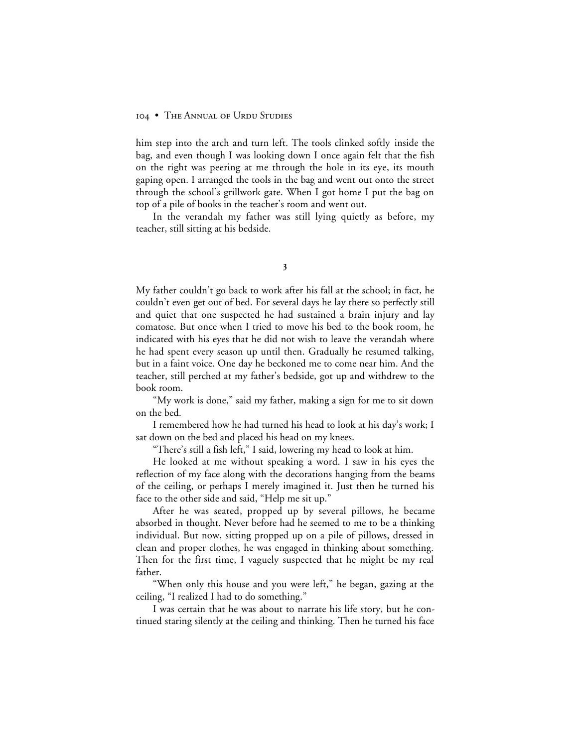him step into the arch and turn left. The tools clinked softly inside the bag, and even though I was looking down I once again felt that the fish on the right was peering at me through the hole in its eye, its mouth gaping open. I arranged the tools in the bag and went out onto the street through the school's grillwork gate. When I got home I put the bag on top of a pile of books in the teacher's room and went out.

In the verandah my father was still lying quietly as before, my teacher, still sitting at his bedside.

 $\overline{\mathbf{3}}$ 

My father couldn't go back to work after his fall at the school; in fact, he couldn't even get out of bed. For several days he lay there so perfectly still and quiet that one suspected he had sustained a brain injury and lay comatose. But once when I tried to move his bed to the book room, he indicated with his eyes that he did not wish to leave the verandah where he had spent every season up until then. Gradually he resumed talking, but in a faint voice. One day he beckoned me to come near him. And the teacher, still perched at my father's bedside, got up and withdrew to the book room.

"My work is done," said my father, making a sign for me to sit down on the bed.

I remembered how he had turned his head to look at his day's work; I sat down on the bed and placed his head on my knees.

"There's still a fish left," I said, lowering my head to look at him.

He looked at me without speaking a word. I saw in his eyes the reflection of my face along with the decorations hanging from the beams of the ceiling, or perhaps I merely imagined it. Just then he turned his face to the other side and said, "Help me sit up."

After he was seated, propped up by several pillows, he became absorbed in thought. Never before had he seemed to me to be a thinking individual. But now, sitting propped up on a pile of pillows, dressed in clean and proper clothes, he was engaged in thinking about something. Then for the first time, I vaguely suspected that he might be my real father.

"When only this house and you were left," he began, gazing at the ceiling, "I realized I had to do something."

I was certain that he was about to narrate his life story, but he continued staring silently at the ceiling and thinking. Then he turned his face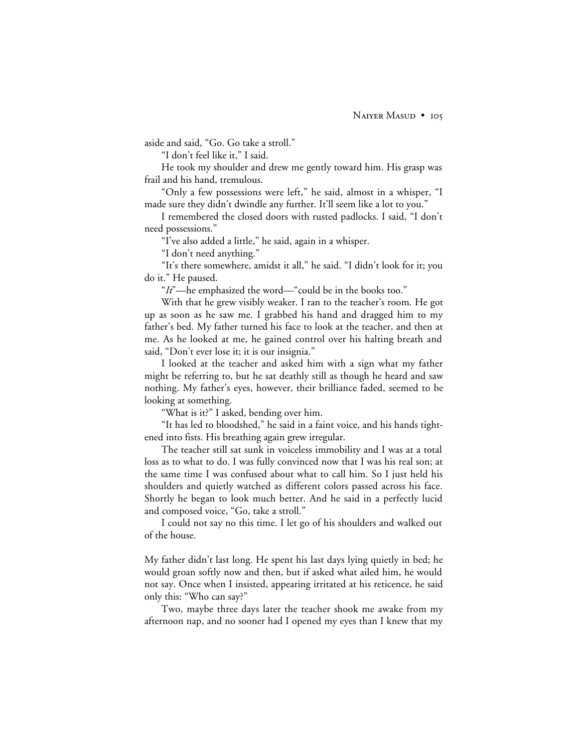aside and said, "Go. Go take a stroll."

"I don't feel like it," I said.

He took my shoulder and drew me gently toward him. His grasp was frail and his hand, tremulous.

"Only a few possessions were left," he said, almost in a whisper, "I made sure they didn't dwindle any further. It'll seem like a lot to you."

I remembered the closed doors with rusted padlocks. I said, "I don't need possessions."

"I've also added a little," he said, again in a whisper.

"I don't need anything."

"It's there somewhere, amidst it all," he said. "I didn't look for it; you do it." He paused.

"*It*"—he emphasized the word—"could be in the books too."

With that he grew visibly weaker. I ran to the teacher's room. He got up as soon as he saw me. I grabbed his hand and dragged him to my father's bed. My father turned his face to look at the teacher, and then at me. As he looked at me, he gained control over his halting breath and said, "Don't ever lose it; it is our insignia."

I looked at the teacher and asked him with a sign what my father might be referring to, but he sat deathly still as though he heard and saw nothing. My father's eyes, however, their brilliance faded, seemed to be looking at something.

"What is it?" I asked, bending over him.

"It has led to bloodshed," he said in a faint voice, and his hands tightened into fists. His breathing again grew irregular.

The teacher still sat sunk in voiceless immobility and I was at a total loss as to what to do. I was fully convinced now that I was his real son; at the same time I was confused about what to call him. So I just held his shoulders and quietly watched as different colors passed across his face. Shortly he began to look much better. And he said in a perfectly lucid and composed voice, "Go, take a stroll."

I could not say no this time. I let go of his shoulders and walked out of the house.

My father didn't last long. He spent his last days lying quietly in bed; he would groan softly now and then, but if asked what ailed him, he would not say. Once when I insisted, appearing irritated at his reticence, he said only this: "Who can say?"

Two, maybe three days later the teacher shook me awake from my afternoon nap, and no sooner had I opened my eyes than I knew that my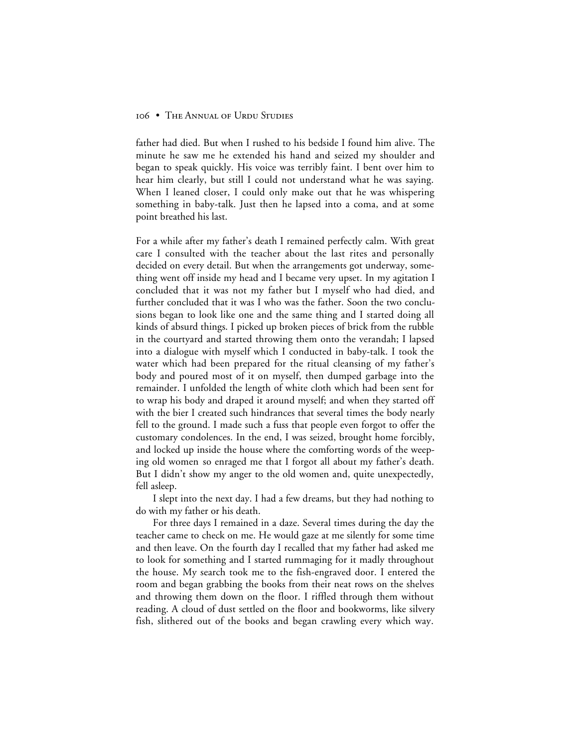father had died. But when I rushed to his bedside I found him alive. The minute he saw me he extended his hand and seized my shoulder and began to speak quickly. His voice was terribly faint. I bent over him to hear him clearly, but still I could not understand what he was saying. When I leaned closer, I could only make out that he was whispering something in baby-talk. Just then he lapsed into a coma, and at some point breathed his last.

For a while after my father's death I remained perfectly calm. With great care I consulted with the teacher about the last rites and personally decided on every detail. But when the arrangements got underway, something went off inside my head and I became very upset. In my agitation I concluded that it was not my father but I myself who had died, and further concluded that it was I who was the father. Soon the two conclusions began to look like one and the same thing and I started doing all kinds of absurd things. I picked up broken pieces of brick from the rubble in the courtyard and started throwing them onto the verandah; I lapsed into a dialogue with myself which I conducted in baby-talk. I took the water which had been prepared for the ritual cleansing of my father's body and poured most of it on myself, then dumped garbage into the remainder. I unfolded the length of white cloth which had been sent for to wrap his body and draped it around myself; and when they started off with the bier I created such hindrances that several times the body nearly fell to the ground. I made such a fuss that people even forgot to offer the customary condolences. In the end, I was seized, brought home forcibly, and locked up inside the house where the comforting words of the weeping old women so enraged me that I forgot all about my father's death. But I didn't show my anger to the old women and, quite unexpectedly, fell asleep.

I slept into the next day. I had a few dreams, but they had nothing to do with my father or his death.

For three days I remained in a daze. Several times during the day the teacher came to check on me. He would gaze at me silently for some time and then leave. On the fourth day I recalled that my father had asked me to look for something and I started rummaging for it madly throughout the house. My search took me to the fish-engraved door. I entered the room and began grabbing the books from their neat rows on the shelves and throwing them down on the floor. I riffled through them without reading. A cloud of dust settled on the floor and bookworms, like silvery fish, slithered out of the books and began crawling every which way.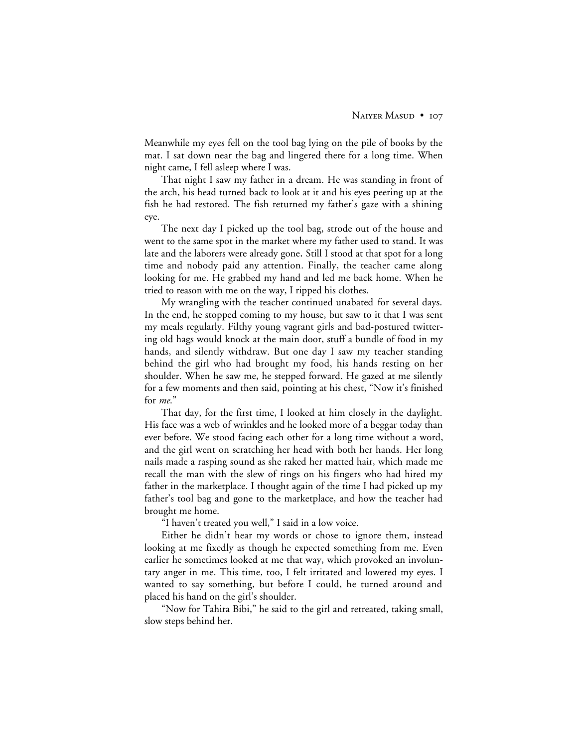Meanwhile my eyes fell on the tool bag lying on the pile of books by the mat. I sat down near the bag and lingered there for a long time. When night came, I fell asleep where I was.

That night I saw my father in a dream. He was standing in front of the arch, his head turned back to look at it and his eyes peering up at the fish he had restored. The fish returned my father's gaze with a shining eye.

The next day I picked up the tool bag, strode out of the house and went to the same spot in the market where my father used to stand. It was late and the laborers were already gone**.** Still I stood at that spot for a long time and nobody paid any attention. Finally, the teacher came along looking for me. He grabbed my hand and led me back home. When he tried to reason with me on the way, I ripped his clothes.

My wrangling with the teacher continued unabated for several days. In the end, he stopped coming to my house, but saw to it that I was sent my meals regularly. Filthy young vagrant girls and bad-postured twittering old hags would knock at the main door, stuff a bundle of food in my hands, and silently withdraw. But one day I saw my teacher standing behind the girl who had brought my food, his hands resting on her shoulder. When he saw me, he stepped forward. He gazed at me silently for a few moments and then said, pointing at his chest, "Now it's finished for *me*."

That day, for the first time, I looked at him closely in the daylight. His face was a web of wrinkles and he looked more of a beggar today than ever before. We stood facing each other for a long time without a word, and the girl went on scratching her head with both her hands. Her long nails made a rasping sound as she raked her matted hair, which made me recall the man with the slew of rings on his fingers who had hired my father in the marketplace. I thought again of the time I had picked up my father's tool bag and gone to the marketplace, and how the teacher had brought me home.

"I haven't treated you well," I said in a low voice.

Either he didn't hear my words or chose to ignore them, instead looking at me fixedly as though he expected something from me. Even earlier he sometimes looked at me that way, which provoked an involuntary anger in me. This time, too, I felt irritated and lowered my eyes. I wanted to say something, but before I could, he turned around and placed his hand on the girl's shoulder.

"Now for Tahira Bibi," he said to the girl and retreated, taking small, slow steps behind her.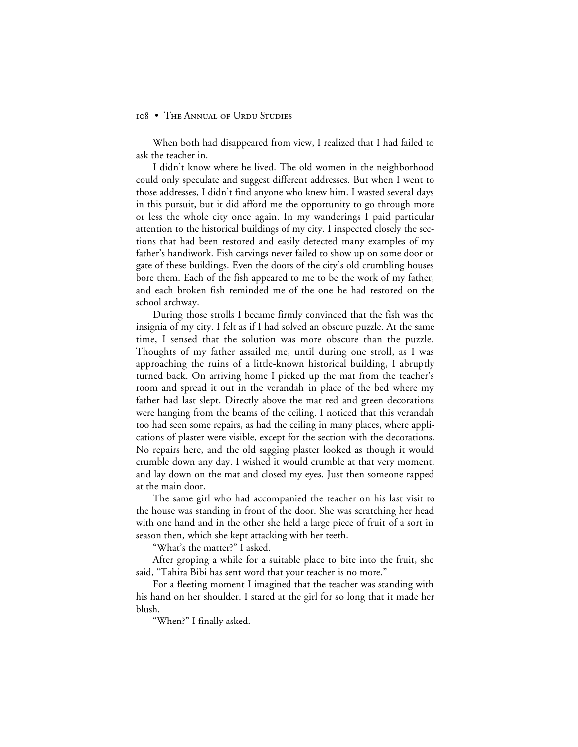When both had disappeared from view, I realized that I had failed to ask the teacher in.

I didn't know where he lived. The old women in the neighborhood could only speculate and suggest different addresses. But when I went to those addresses, I didn't find anyone who knew him. I wasted several days in this pursuit, but it did afford me the opportunity to go through more or less the whole city once again. In my wanderings I paid particular attention to the historical buildings of my city. I inspected closely the sections that had been restored and easily detected many examples of my father's handiwork. Fish carvings never failed to show up on some door or gate of these buildings. Even the doors of the city's old crumbling houses bore them. Each of the fish appeared to me to be the work of my father, and each broken fish reminded me of the one he had restored on the school archway.

During those strolls I became firmly convinced that the fish was the insignia of my city. I felt as if I had solved an obscure puzzle. At the same time, I sensed that the solution was more obscure than the puzzle. Thoughts of my father assailed me, until during one stroll, as I was approaching the ruins of a little-known historical building, I abruptly turned back. On arriving home I picked up the mat from the teacher's room and spread it out in the verandah in place of the bed where my father had last slept. Directly above the mat red and green decorations were hanging from the beams of the ceiling. I noticed that this verandah too had seen some repairs, as had the ceiling in many places, where applications of plaster were visible, except for the section with the decorations. No repairs here, and the old sagging plaster looked as though it would crumble down any day. I wished it would crumble at that very moment, and lay down on the mat and closed my eyes. Just then someone rapped at the main door.

The same girl who had accompanied the teacher on his last visit to the house was standing in front of the door. She was scratching her head with one hand and in the other she held a large piece of fruit of a sort in season then, which she kept attacking with her teeth.

"What's the matter?" I asked.

After groping a while for a suitable place to bite into the fruit, she said, "Tahira Bibi has sent word that your teacher is no more."

For a fleeting moment I imagined that the teacher was standing with his hand on her shoulder. I stared at the girl for so long that it made her blush.

"When?" I finally asked.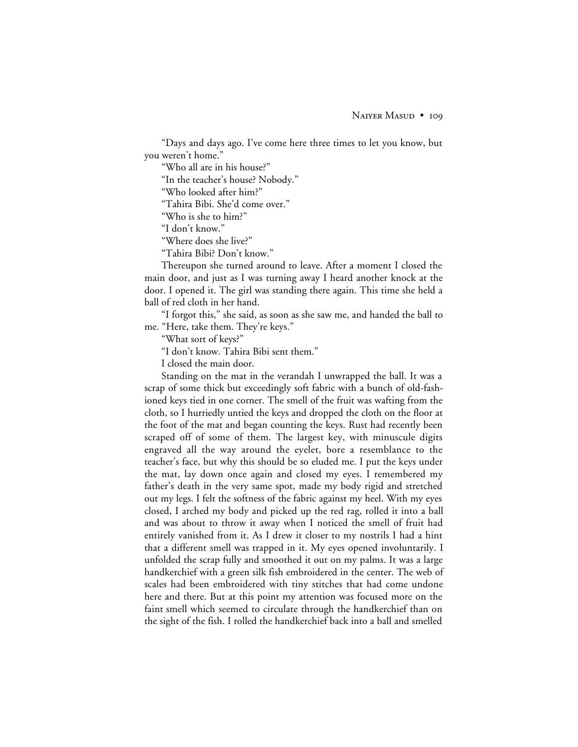"Days and days ago. I've come here three times to let you know, but you weren't home."

"Who all are in his house?"

"In the teacher's house? Nobody."

"Who looked after him?"

"Tahira Bibi. She'd come over."

"Who is she to him?"

"I don't know."

"Where does she live?"

"Tahira Bibi? Don't know."

Thereupon she turned around to leave. After a moment I closed the main door, and just as I was turning away I heard another knock at the door. I opened it. The girl was standing there again. This time she held a ball of red cloth in her hand.

"I forgot this," she said, as soon as she saw me, and handed the ball to me. "Here, take them. They're keys."

"What sort of keys?"

"I don't know. Tahira Bibi sent them."

I closed the main door.

Standing on the mat in the verandah I unwrapped the ball. It was a scrap of some thick but exceedingly soft fabric with a bunch of old-fashioned keys tied in one corner. The smell of the fruit was wafting from the cloth, so I hurriedly untied the keys and dropped the cloth on the floor at the foot of the mat and began counting the keys. Rust had recently been scraped off of some of them. The largest key, with minuscule digits engraved all the way around the eyelet, bore a resemblance to the teacher's face, but why this should be so eluded me. I put the keys under the mat, lay down once again and closed my eyes. I remembered my father's death in the very same spot, made my body rigid and stretched out my legs. I felt the softness of the fabric against my heel. With my eyes closed, I arched my body and picked up the red rag, rolled it into a ball and was about to throw it away when I noticed the smell of fruit had entirely vanished from it. As I drew it closer to my nostrils I had a hint that a different smell was trapped in it. My eyes opened involuntarily. I unfolded the scrap fully and smoothed it out on my palms. It was a large handkerchief with a green silk fish embroidered in the center. The web of scales had been embroidered with tiny stitches that had come undone here and there. But at this point my attention was focused more on the faint smell which seemed to circulate through the handkerchief than on the sight of the fish. I rolled the handkerchief back into a ball and smelled